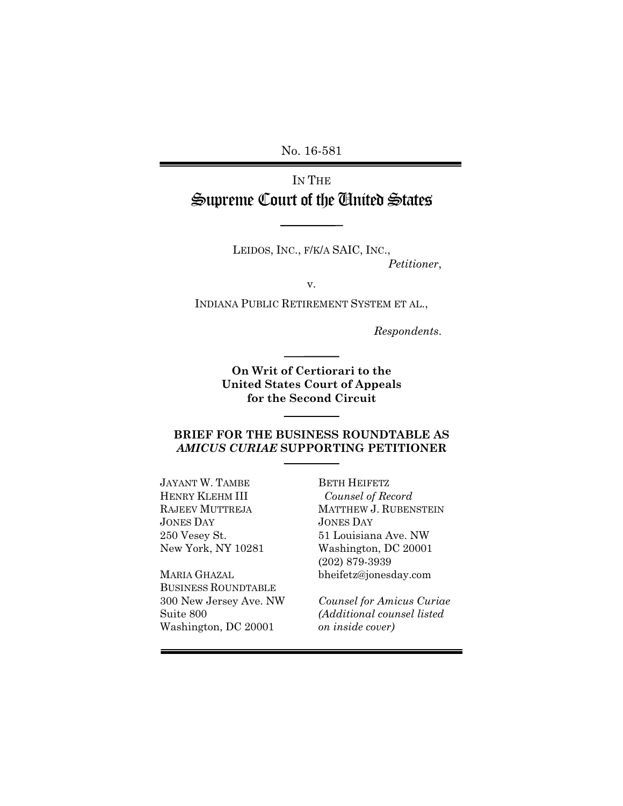No. 16-581

# IN THE Supreme Court of the United States

LEIDOS, INC., F/K/A SAIC, INC., *Petitioner*,

v.

INDIANA PUBLIC RETIREMENT SYSTEM ET AL.,

*Respondents*.

**On Writ of Certiorari to the United States Court of Appeals for the Second Circuit**

#### **BRIEF FOR THE BUSINESS ROUNDTABLE AS**  *AMICUS CURIAE* **SUPPORTING PETITIONER**

JAYANT W. TAMBE HENRY KLEHM III RAJEEV MUTTREJA JONES DAY 250 Vesey St. New York, NY 10281

MARIA GHAZAL BUSINESS ROUNDTABLE 300 New Jersey Ave. NW Suite 800 Washington, DC 20001

BETH HEIFETZ *Counsel of Record* MATTHEW J. RUBENSTEIN JONES DAY 51 Louisiana Ave. NW Washington, DC 20001 (202) 879-3939 bheifetz@jonesday.com

*Counsel for Amicus Curiae (Additional counsel listed on inside cover)*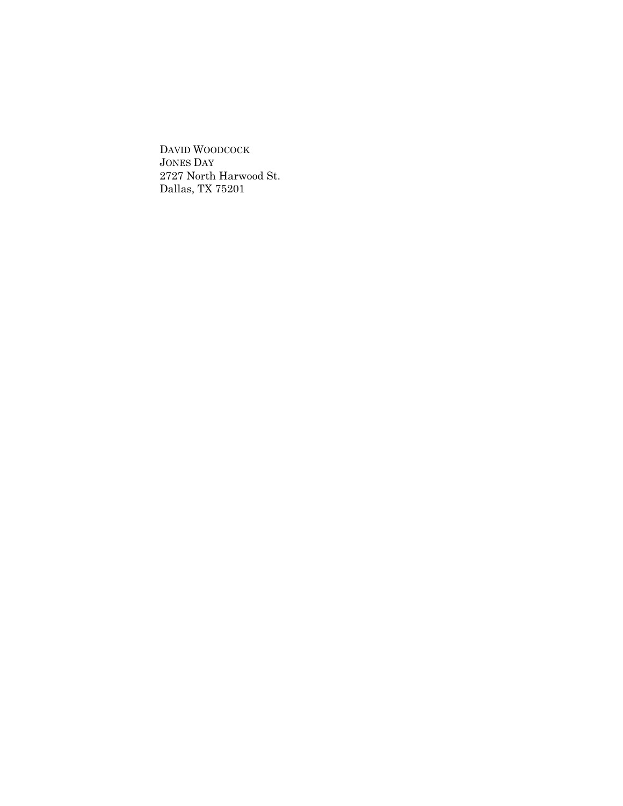DAVID WOODCOCK JONES DAY 2727 North Harwood St. Dallas, TX 75201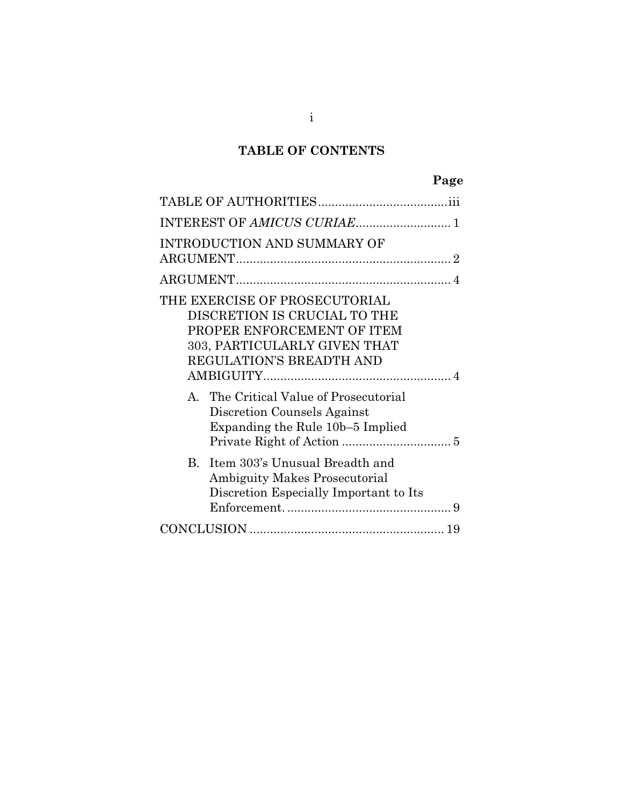# **TABLE OF CONTENTS**

# **Page**

| INTEREST OF AMICUS CURIAE 1                                                                                                                             |
|---------------------------------------------------------------------------------------------------------------------------------------------------------|
| INTRODUCTION AND SUMMARY OF                                                                                                                             |
|                                                                                                                                                         |
| THE EXERCISE OF PROSECUTORIAL<br>DISCRETION IS CRUCIAL TO THE<br>PROPER ENFORCEMENT OF ITEM<br>303, PARTICULARLY GIVEN THAT<br>REGULATION'S BREADTH AND |
| A. The Critical Value of Prosecutorial<br>Discretion Counsels Against<br>Expanding the Rule 10b–5 Implied                                               |
| Item 303's Unusual Breadth and<br>$\mathbf{B}$<br><b>Ambiguity Makes Prosecutorial</b><br>Discretion Especially Important to Its                        |
|                                                                                                                                                         |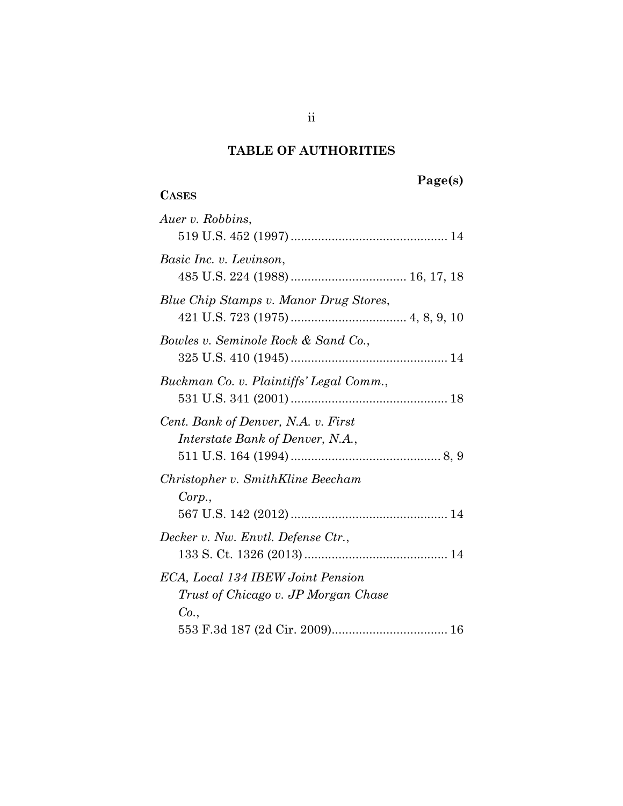# **TABLE OF AUTHORITIES**

# **Page(s)**

# **CASES**

ii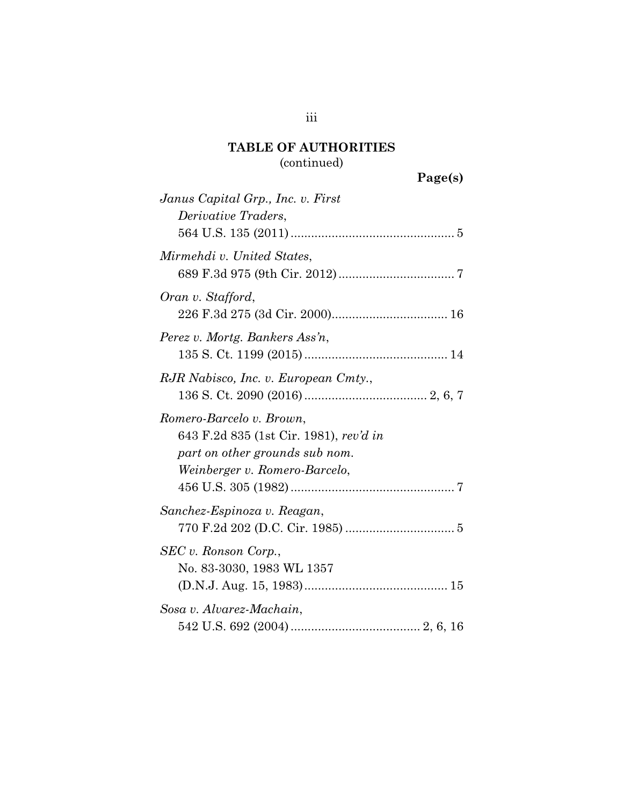| Janus Capital Grp., Inc. v. First                                                                                                     |
|---------------------------------------------------------------------------------------------------------------------------------------|
| Derivative Traders,                                                                                                                   |
|                                                                                                                                       |
| Mirmehdi v. United States,                                                                                                            |
| Oran v. Stafford,                                                                                                                     |
| Perez v. Mortg. Bankers Ass'n,                                                                                                        |
|                                                                                                                                       |
| RJR Nabisco, Inc. v. European Cmty.,                                                                                                  |
| Romero-Barcelo v. Brown,<br>643 F.2d 835 (1st Cir. 1981), rev'd in<br>part on other grounds sub nom.<br>Weinberger v. Romero-Barcelo, |
| Sanchez-Espinoza v. Reagan,                                                                                                           |
| SEC v. Ronson Corp.,<br>No. 83-3030, 1983 WL 1357                                                                                     |
| Sosa v. Alvarez-Machain,                                                                                                              |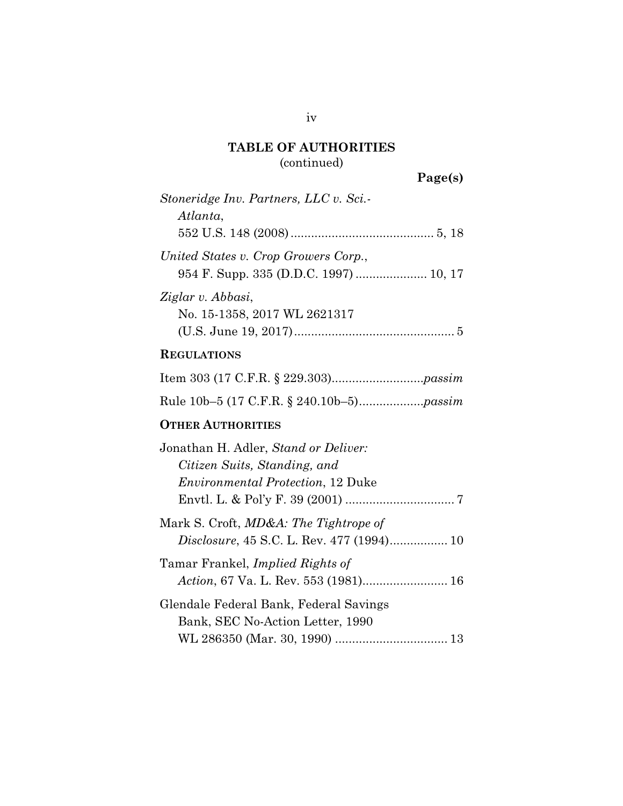**Page(s)**

| Stoneridge Inv. Partners, LLC v. Sci.-<br>Atlanta,                                                                |
|-------------------------------------------------------------------------------------------------------------------|
| United States v. Crop Growers Corp.,                                                                              |
| Ziglar v. Abbasi,<br>No. 15-1358, 2017 WL 2621317                                                                 |
| <b>REGULATIONS</b>                                                                                                |
|                                                                                                                   |
|                                                                                                                   |
| <b>OTHER AUTHORITIES</b>                                                                                          |
| Jonathan H. Adler, Stand or Deliver:<br>Citizen Suits, Standing, and<br><i>Environmental Protection</i> , 12 Duke |
| Mark S. Croft, <i>MD&amp;A: The Tightrope of</i>                                                                  |
|                                                                                                                   |

Tamar Frankel, *Implied Rights of Action*, 67 Va. L. Rev. 553 (1981)......................... [16](#page-25-1) Glendale Federal Bank, Federal Savings Bank, SEC No-Action Letter, 1990

WL 286350 (Mar. 30, 1990) ................................. [13](#page-22-0)

iv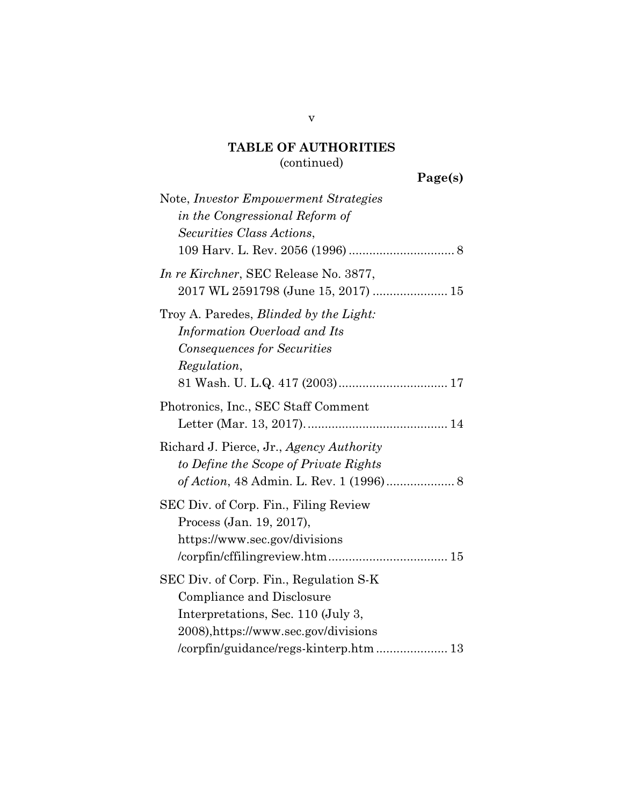| Note, <i>Investor Empowerment Strategies</i><br>in the Congressional Reform of<br>Securities Class Actions,                                                                                 |
|---------------------------------------------------------------------------------------------------------------------------------------------------------------------------------------------|
| In re Kirchner, SEC Release No. 3877,<br>2017 WL 2591798 (June 15, 2017)  15                                                                                                                |
| Troy A. Paredes, <i>Blinded by the Light</i> :<br>Information Overload and Its<br>Consequences for Securities<br>Regulation,                                                                |
| Photronics, Inc., SEC Staff Comment                                                                                                                                                         |
| Richard J. Pierce, Jr., Agency Authority<br>to Define the Scope of Private Rights                                                                                                           |
| SEC Div. of Corp. Fin., Filing Review<br>Process (Jan. 19, 2017),<br>https://www.sec.gov/divisions                                                                                          |
| SEC Div. of Corp. Fin., Regulation S-K<br>Compliance and Disclosure<br>Interpretations, Sec. 110 (July 3,<br>2008), https://www.sec.gov/divisions<br>/corpfin/guidance/regs-kinterp.htm  13 |

v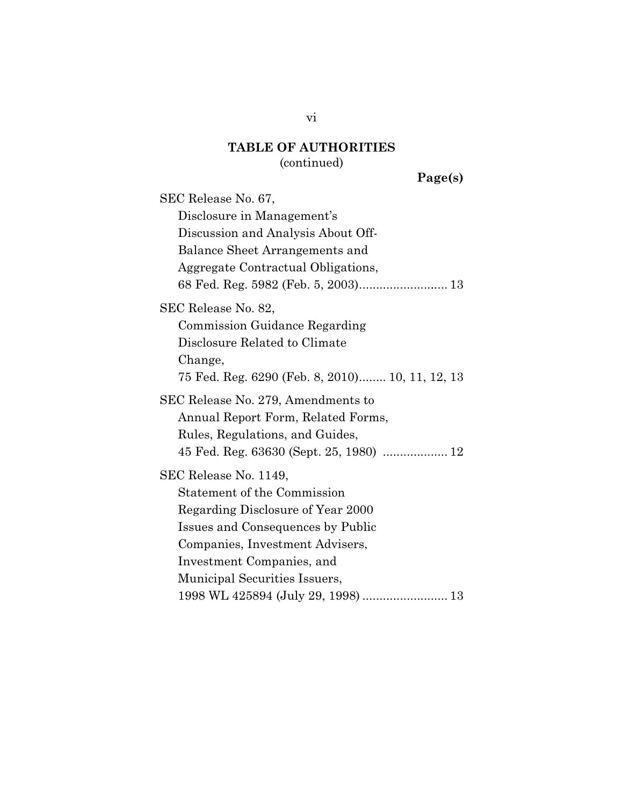#### **TABLE OF AUTHORITIES**

#### (continued)

**Page(s)**

SEC Release No. 67, Disclosure in Management's Discussion and Analysis About Off-Balance Sheet Arrangements and Aggregate Contractual Obligations, 68 Fed. Reg. 5982 (Feb. 5, 2003).......................... [13](#page-22-1) SEC Release No. 82, Commission Guidance Regarding Disclosure Related to Climate Change, 75 Fed. Reg. 6290 (Feb. 8, 2010)........ 10, [11,](#page-19-2) 12, 13 SEC Release No. 279, Amendments to Annual Report Form, Related Forms, Rules, Regulations, and Guides, 45 Fed. Reg. 63630 (Sept. 25, 1980) ................... 12 SEC Release No. 1149, Statement of the Commission Regarding Disclosure of Year 2000 Issues and Consequences by Public Companies, Investment Advisers, Investment Companies, and Municipal Securities Issuers, 1998 WL 425894 (July 29, 1998) ......................... 13

vi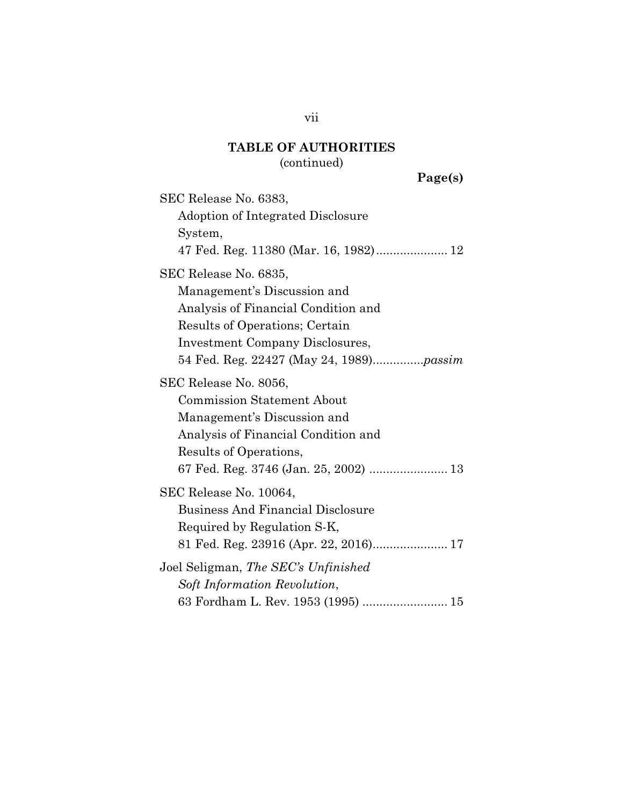# **TABLE OF AUTHORITIES**

### (continued)

**Page(s)**

SEC Release No. 6383, Adoption of Integrated Disclosure System, 47 Fed. Reg. 11380 (Mar. 16, 1982)..................... [12](#page-21-0) SEC Release No. 6835, Management's Discussion and Analysis of Financial Condition and Results of Operations; Certain Investment Company Disclosures, 54 Fed. Reg. 22427 (May 24, 1989)...............*[passim](#page-11-2)* SEC Release No. 8056, Commission Statement About Management's Discussion and Analysis of Financial Condition and Results of Operations, 67 Fed. Reg. 3746 (Jan. 25, 2002) ....................... 13 SEC Release No. 10064, Business And Financial Disclosure Required by Regulation S-K, 81 Fed. Reg. 23916 (Apr. 22, 2016)...................... [17](#page-26-3) Joel Seligman, *The SEC's Unfinished Soft Information Revolution*, 63 Fordham L. Rev. 1953 (1995) ......................... [15](#page-24-1)

vii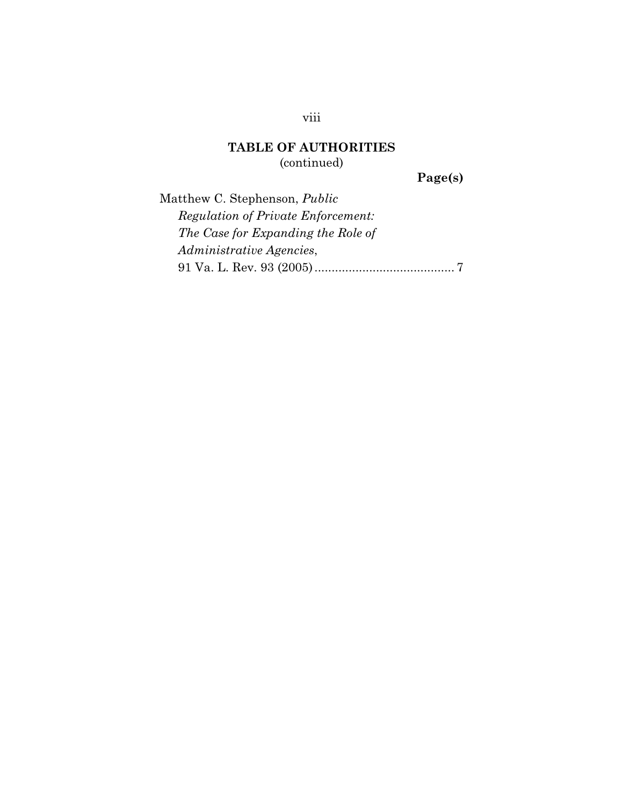**Page(s)**

Matthew C. Stephenson, *Public Regulation of Private Enforcement: The Case for Expanding the Role of Administrative Agencies*, 91 Va. L. Rev. 93 (2005)......................................... [7](#page-16-3)

### viii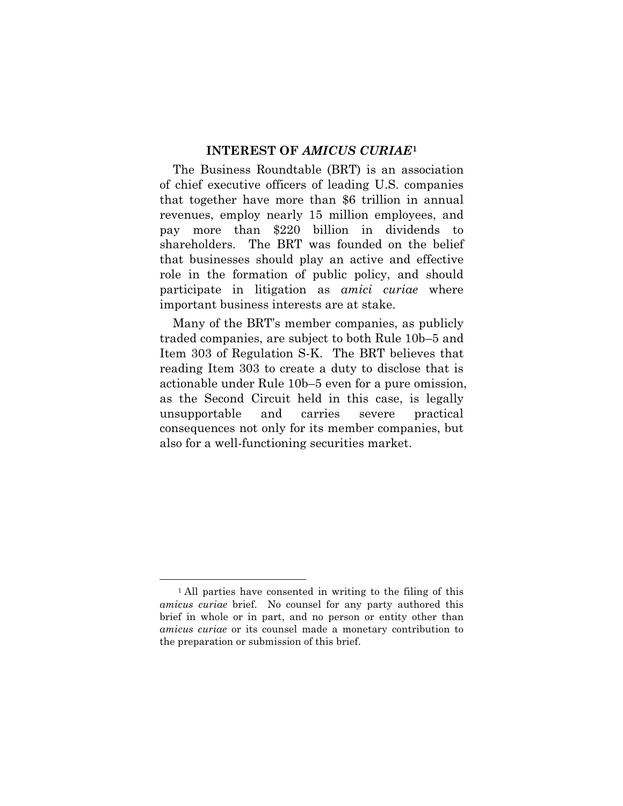#### **INTEREST OF** *AMICUS CURIAE***[1](#page-10-0)**

The Business Roundtable (BRT) is an association of chief executive officers of leading U.S. companies that together have more than \$6 trillion in annual revenues, employ nearly 15 million employees, and pay more than \$220 billion in dividends to shareholders. The BRT was founded on the belief that businesses should play an active and effective role in the formation of public policy, and should participate in litigation as *amici curiae* where important business interests are at stake.

Many of the BRT's member companies, as publicly traded companies, are subject to both Rule 10b–5 and Item 303 of Regulation S-K. The BRT believes that reading Item 303 to create a duty to disclose that is actionable under Rule 10b–5 even for a pure omission, as the Second Circuit held in this case, is legally unsupportable and carries severe practical consequences not only for its member companies, but also for a well-functioning securities market.

<span id="page-10-0"></span><sup>-</sup><sup>1</sup> All parties have consented in writing to the filing of this *amicus curiae* brief. No counsel for any party authored this brief in whole or in part, and no person or entity other than *amicus curiae* or its counsel made a monetary contribution to the preparation or submission of this brief.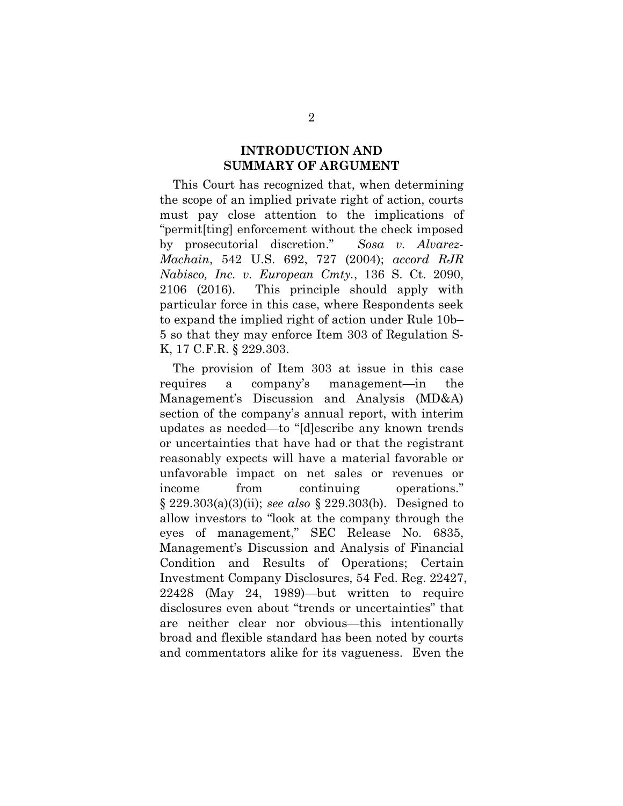### <span id="page-11-1"></span><span id="page-11-0"></span>**INTRODUCTION AND SUMMARY OF ARGUMENT**

This Court has recognized that, when determining the scope of an implied private right of action, courts must pay close attention to the implications of "permit[ting] enforcement without the check imposed by prosecutorial discretion." *Sosa v. Alvarez-Machain*, 542 U.S. 692, 727 (2004); *accord RJR Nabisco, Inc. v. European Cmty.*, 136 S. Ct. 2090, 2106 (2016). This principle should apply with particular force in this case, where Respondents seek to expand the implied right of action under Rule 10b– 5 so that they may enforce Item 303 of Regulation S-K, 17 C.F.R. § 229.303.

<span id="page-11-2"></span>The provision of Item 303 at issue in this case requires a company's management—in the Management's Discussion and Analysis (MD&A) section of the company's annual report, with interim updates as needed—to "[d]escribe any known trends or uncertainties that have had or that the registrant reasonably expects will have a material favorable or unfavorable impact on net sales or revenues or income from continuing operations." § 229.303(a)(3)(ii); *see also* § 229.303(b). Designed to allow investors to "look at the company through the eyes of management," SEC Release No. 6835, Management's Discussion and Analysis of Financial Condition and Results of Operations; Certain Investment Company Disclosures, 54 Fed. Reg. 22427, 22428 (May 24, 1989)—but written to require disclosures even about "trends or uncertainties" that are neither clear nor obvious—this intentionally broad and flexible standard has been noted by courts and commentators alike for its vagueness. Even the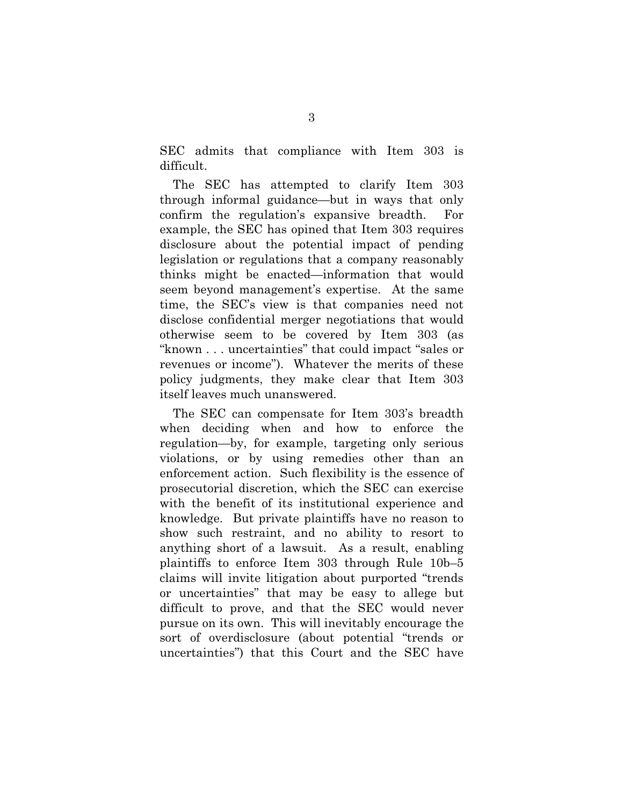SEC admits that compliance with Item 303 is difficult.

The SEC has attempted to clarify Item 303 through informal guidance—but in ways that only confirm the regulation's expansive breadth. For example, the SEC has opined that Item 303 requires disclosure about the potential impact of pending legislation or regulations that a company reasonably thinks might be enacted—information that would seem beyond management's expertise. At the same time, the SEC's view is that companies need not disclose confidential merger negotiations that would otherwise seem to be covered by Item 303 (as "known . . . uncertainties" that could impact "sales or revenues or income"). Whatever the merits of these policy judgments, they make clear that Item 303 itself leaves much unanswered.

The SEC can compensate for Item 303's breadth when deciding when and how to enforce the regulation—by, for example, targeting only serious violations, or by using remedies other than an enforcement action. Such flexibility is the essence of prosecutorial discretion, which the SEC can exercise with the benefit of its institutional experience and knowledge. But private plaintiffs have no reason to show such restraint, and no ability to resort to anything short of a lawsuit. As a result, enabling plaintiffs to enforce Item 303 through Rule 10b–5 claims will invite litigation about purported "trends or uncertainties" that may be easy to allege but difficult to prove, and that the SEC would never pursue on its own. This will inevitably encourage the sort of overdisclosure (about potential "trends or uncertainties") that this Court and the SEC have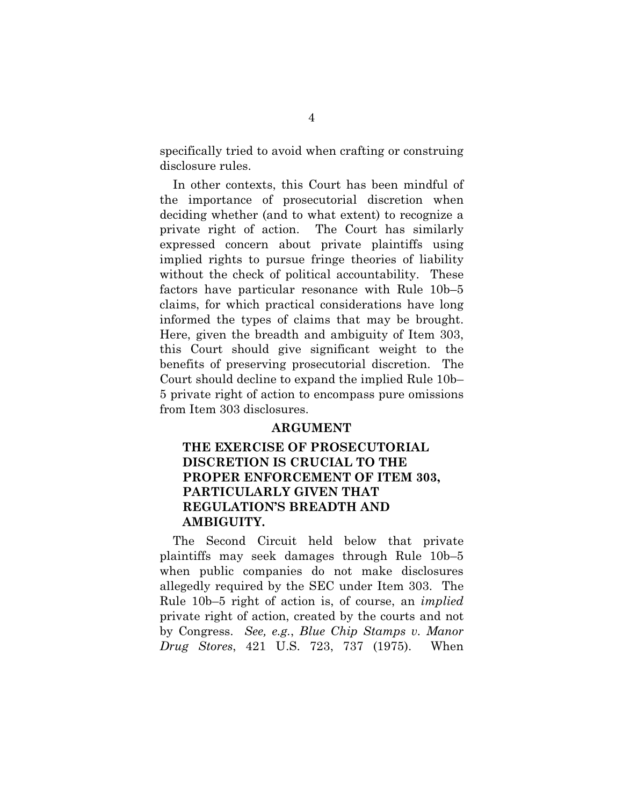specifically tried to avoid when crafting or construing disclosure rules.

In other contexts, this Court has been mindful of the importance of prosecutorial discretion when deciding whether (and to what extent) to recognize a private right of action. The Court has similarly expressed concern about private plaintiffs using implied rights to pursue fringe theories of liability without the check of political accountability. These factors have particular resonance with Rule 10b–5 claims, for which practical considerations have long informed the types of claims that may be brought. Here, given the breadth and ambiguity of Item 303, this Court should give significant weight to the benefits of preserving prosecutorial discretion. The Court should decline to expand the implied Rule 10b– 5 private right of action to encompass pure omissions from Item 303 disclosures.

#### **ARGUMENT**

### **THE EXERCISE OF PROSECUTORIAL DISCRETION IS CRUCIAL TO THE PROPER ENFORCEMENT OF ITEM 303, PARTICULARLY GIVEN THAT REGULATION'S BREADTH AND AMBIGUITY.**

<span id="page-13-0"></span>The Second Circuit held below that private plaintiffs may seek damages through Rule 10b–5 when public companies do not make disclosures allegedly required by the SEC under Item 303. The Rule 10b–5 right of action is, of course, an *implied* private right of action, created by the courts and not by Congress. *See, e.g.*, *Blue Chip Stamps v. Manor Drug Stores*, 421 U.S. 723, 737 (1975). When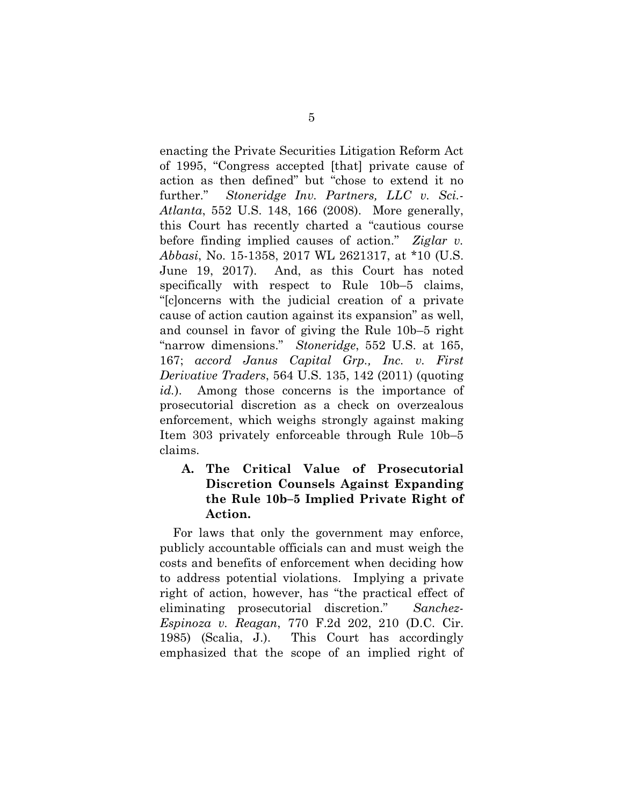<span id="page-14-2"></span>enacting the Private Securities Litigation Reform Act of 1995, "Congress accepted [that] private cause of action as then defined" but "chose to extend it no further." *Stoneridge Inv. Partners, LLC v. Sci.- Atlanta*, 552 U.S. 148, 166 (2008). More generally, this Court has recently charted a "cautious course before finding implied causes of action." *Ziglar v. Abbasi*, No. 15-1358, 2017 WL 2621317, at \*10 (U.S. June 19, 2017). And, as this Court has noted specifically with respect to Rule 10b–5 claims, "[c]oncerns with the judicial creation of a private cause of action caution against its expansion" as well, and counsel in favor of giving the Rule 10b–5 right "narrow dimensions." *Stoneridge*, 552 U.S. at 165, 167; *accord Janus Capital Grp., Inc. v. First Derivative Traders*, 564 U.S. 135, 142 (2011) (quoting *id.*). Among those concerns is the importance of prosecutorial discretion as a check on overzealous enforcement, which weighs strongly against making Item 303 privately enforceable through Rule 10b–5 claims.

<span id="page-14-0"></span>**A. The Critical Value of Prosecutorial Discretion Counsels Against Expanding the Rule 10b–5 Implied Private Right of Action.**

<span id="page-14-1"></span>For laws that only the government may enforce, publicly accountable officials can and must weigh the costs and benefits of enforcement when deciding how to address potential violations. Implying a private right of action, however, has "the practical effect of eliminating prosecutorial discretion." *Sanchez-Espinoza v. Reagan*, 770 F.2d 202, 210 (D.C. Cir. 1985) (Scalia, J.). This Court has accordingly emphasized that the scope of an implied right of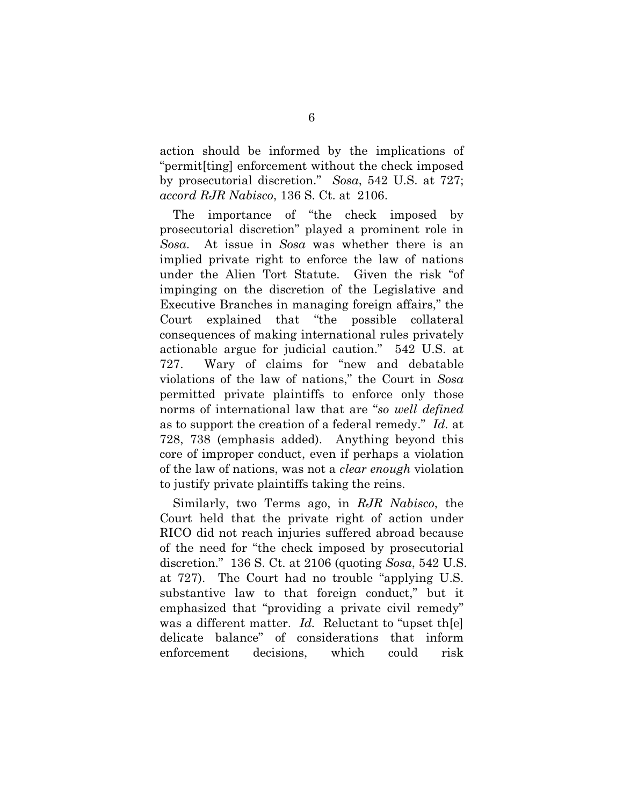<span id="page-15-1"></span>action should be informed by the implications of "permit[ting] enforcement without the check imposed by prosecutorial discretion." *Sosa*, 542 U.S. at 727; *accord RJR Nabisco*, 136 S. Ct. at 2106.

<span id="page-15-0"></span>The importance of "the check imposed by prosecutorial discretion" played a prominent role in *Sosa*. At issue in *Sosa* was whether there is an implied private right to enforce the law of nations under the Alien Tort Statute. Given the risk "of impinging on the discretion of the Legislative and Executive Branches in managing foreign affairs," the Court explained that "the possible collateral consequences of making international rules privately actionable argue for judicial caution." 542 U.S. at 727. Wary of claims for "new and debatable violations of the law of nations," the Court in *Sosa* permitted private plaintiffs to enforce only those norms of international law that are "*so well defined* as to support the creation of a federal remedy." *Id.* at 728, 738 (emphasis added). Anything beyond this core of improper conduct, even if perhaps a violation of the law of nations, was not a *clear enough* violation to justify private plaintiffs taking the reins.

Similarly, two Terms ago, in *RJR Nabisco*, the Court held that the private right of action under RICO did not reach injuries suffered abroad because of the need for "the check imposed by prosecutorial discretion." 136 S. Ct. at 2106 (quoting *Sosa*, 542 U.S. at 727). The Court had no trouble "applying U.S. substantive law to that foreign conduct," but it emphasized that "providing a private civil remedy" was a different matter. *Id.* Reluctant to "upset th[e] delicate balance" of considerations that inform enforcement decisions, which could risk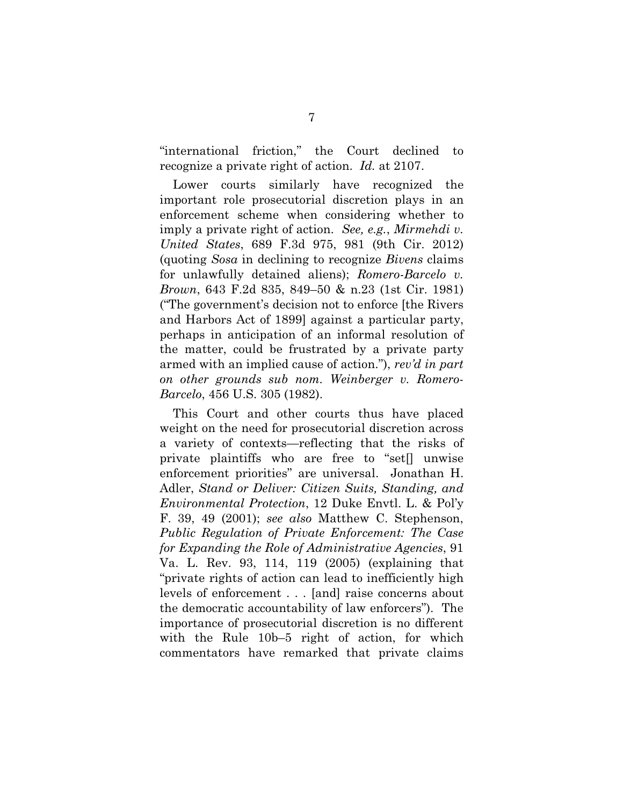"international friction," the Court declined to recognize a private right of action. *Id.* at 2107.

<span id="page-16-1"></span><span id="page-16-0"></span>Lower courts similarly have recognized the important role prosecutorial discretion plays in an enforcement scheme when considering whether to imply a private right of action. *See, e.g.*, *Mirmehdi v. United States*, 689 F.3d 975, 981 (9th Cir. 2012) (quoting *Sosa* in declining to recognize *Bivens* claims for unlawfully detained aliens); *Romero-Barcelo v. Brown*, 643 F.2d 835, 849–50 & n.23 (1st Cir. 1981) ("The government's decision not to enforce [the Rivers and Harbors Act of 1899] against a particular party, perhaps in anticipation of an informal resolution of the matter, could be frustrated by a private party armed with an implied cause of action."), *rev'd in part on other grounds sub nom. Weinberger v. Romero-Barcelo*, 456 U.S. 305 (1982).

<span id="page-16-3"></span><span id="page-16-2"></span>This Court and other courts thus have placed weight on the need for prosecutorial discretion across a variety of contexts—reflecting that the risks of private plaintiffs who are free to "set[] unwise enforcement priorities" are universal. Jonathan H. Adler, *Stand or Deliver: Citizen Suits, Standing, and Environmental Protection*, 12 Duke Envtl. L. & Pol'y F. 39, 49 (2001); *see also* Matthew C. Stephenson, *Public Regulation of Private Enforcement: The Case for Expanding the Role of Administrative Agencies*, 91 Va. L. Rev. 93, 114, 119 (2005) (explaining that "private rights of action can lead to inefficiently high levels of enforcement . . . [and] raise concerns about the democratic accountability of law enforcers"). The importance of prosecutorial discretion is no different with the Rule 10b–5 right of action, for which commentators have remarked that private claims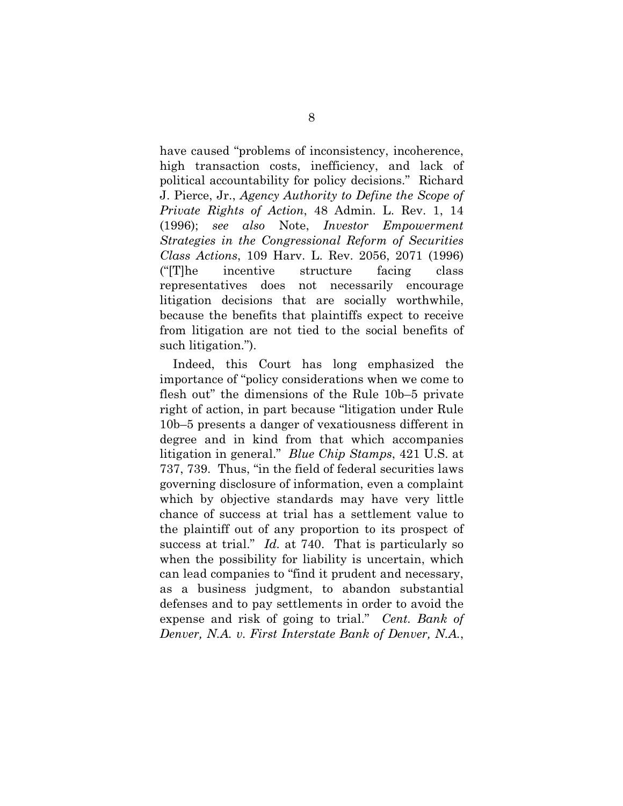<span id="page-17-3"></span><span id="page-17-2"></span>have caused "problems of inconsistency, incoherence, high transaction costs, inefficiency, and lack of political accountability for policy decisions." Richard J. Pierce, Jr., *Agency Authority to Define the Scope of Private Rights of Action*, 48 Admin. L. Rev. 1, 14 (1996); *see also* Note, *Investor Empowerment Strategies in the Congressional Reform of Securities Class Actions*, 109 Harv. L. Rev. 2056, 2071 (1996) ("[T]he incentive structure facing class representatives does not necessarily encourage litigation decisions that are socially worthwhile, because the benefits that plaintiffs expect to receive from litigation are not tied to the social benefits of such litigation.").

<span id="page-17-1"></span><span id="page-17-0"></span>Indeed, this Court has long emphasized the importance of "policy considerations when we come to flesh out" the dimensions of the Rule 10b–5 private right of action, in part because "litigation under Rule 10b–5 presents a danger of vexatiousness different in degree and in kind from that which accompanies litigation in general." *Blue Chip Stamps*, 421 U.S. at 737, 739. Thus, "in the field of federal securities laws governing disclosure of information, even a complaint which by objective standards may have very little chance of success at trial has a settlement value to the plaintiff out of any proportion to its prospect of success at trial." *Id.* at 740. That is particularly so when the possibility for liability is uncertain, which can lead companies to "find it prudent and necessary, as a business judgment, to abandon substantial defenses and to pay settlements in order to avoid the expense and risk of going to trial." *Cent. Bank of Denver, N.A. v. First Interstate Bank of Denver, N.A.*,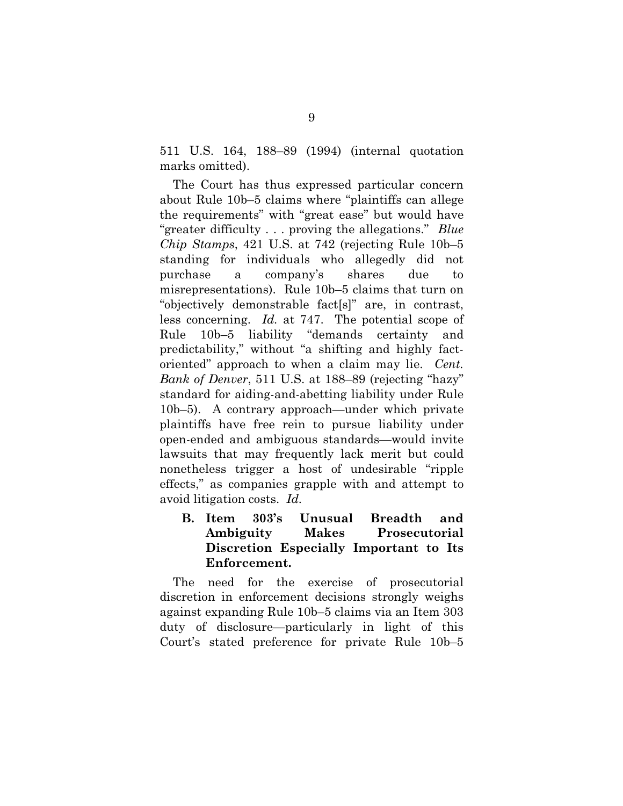511 U.S. 164, 188–89 (1994) (internal quotation marks omitted).

<span id="page-18-0"></span>The Court has thus expressed particular concern about Rule 10b–5 claims where "plaintiffs can allege the requirements" with "great ease" but would have "greater difficulty . . . proving the allegations." *Blue Chip Stamps*, 421 U.S. at 742 (rejecting Rule 10b–5 standing for individuals who allegedly did not purchase a company's shares due to misrepresentations). Rule 10b–5 claims that turn on "objectively demonstrable fact[s]" are, in contrast, less concerning. *Id.* at 747. The potential scope of Rule 10b–5 liability "demands certainty and predictability," without "a shifting and highly factoriented" approach to when a claim may lie. *Cent. Bank of Denver*, 511 U.S. at 188–89 (rejecting "hazy" standard for aiding-and-abetting liability under Rule 10b–5). A contrary approach—under which private plaintiffs have free rein to pursue liability under open-ended and ambiguous standards—would invite lawsuits that may frequently lack merit but could nonetheless trigger a host of undesirable "ripple effects," as companies grapple with and attempt to avoid litigation costs. *Id.*

<span id="page-18-1"></span>**B. Item 303's Unusual Breadth and Ambiguity Makes Prosecutorial Discretion Especially Important to Its Enforcement.**

The need for the exercise of prosecutorial discretion in enforcement decisions strongly weighs against expanding Rule 10b–5 claims via an Item 303 duty of disclosure—particularly in light of this Court's stated preference for private Rule 10b–5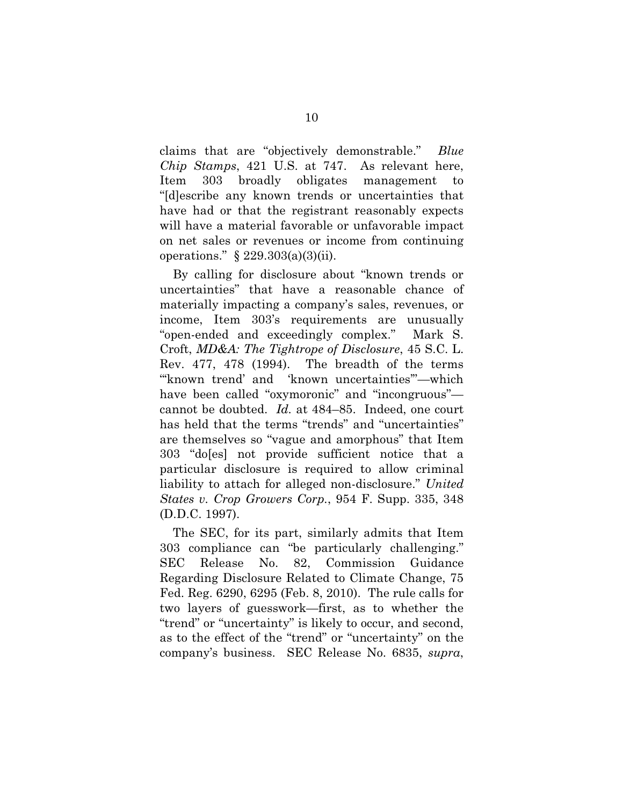<span id="page-19-0"></span>claims that are "objectively demonstrable." *Blue Chip Stamps*, 421 U.S. at 747. As relevant here, Item 303 broadly obligates management to "[d]escribe any known trends or uncertainties that have had or that the registrant reasonably expects will have a material favorable or unfavorable impact on net sales or revenues or income from continuing operations."  $\S$  229.303(a)(3)(ii).

<span id="page-19-1"></span>By calling for disclosure about "known trends or uncertainties" that have a reasonable chance of materially impacting a company's sales, revenues, or income, Item 303's requirements are unusually "open-ended and exceedingly complex." Mark S. Croft, *MD&A: The Tightrope of Disclosure*, 45 S.C. L. Rev. 477, 478 (1994). The breadth of the terms "'known trend' and 'known uncertainties'"—which have been called "oxymoronic" and "incongruous" cannot be doubted. *Id.* at 484–85. Indeed, one court has held that the terms "trends" and "uncertainties" are themselves so "vague and amorphous" that Item 303 "do[es] not provide sufficient notice that a particular disclosure is required to allow criminal liability to attach for alleged non-disclosure." *United States v. Crop Growers Corp.*, 954 F. Supp. 335, 348 (D.D.C. 1997).

<span id="page-19-2"></span>The SEC, for its part, similarly admits that Item 303 compliance can "be particularly challenging." SEC Release No. 82, Commission Guidance Regarding Disclosure Related to Climate Change, 75 Fed. Reg. 6290, 6295 (Feb. 8, 2010). The rule calls for two layers of guesswork—first, as to whether the "trend" or "uncertainty" is likely to occur, and second, as to the effect of the "trend" or "uncertainty" on the company's business. SEC Release No. 6835, *supra*,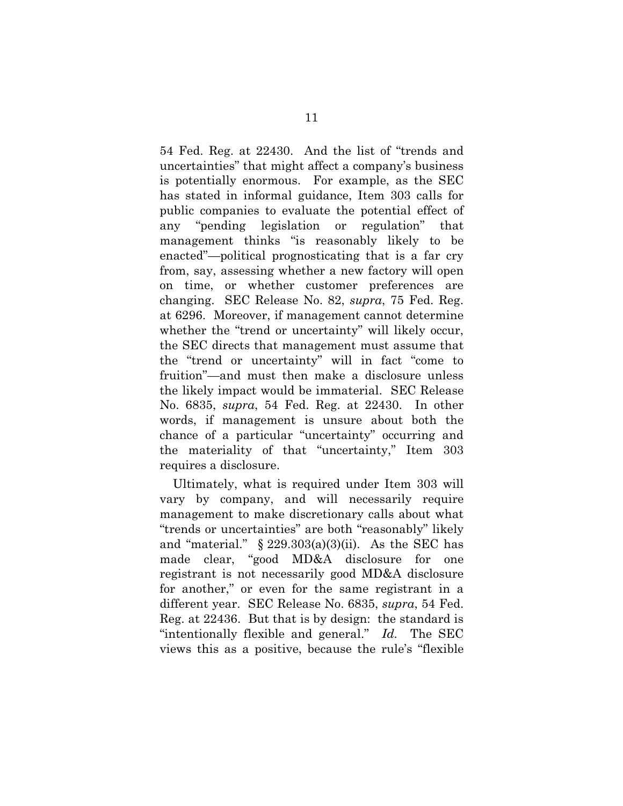54 Fed. Reg. at 22430. And the list of "trends and uncertainties" that might affect a company's business is potentially enormous. For example, as the SEC has stated in informal guidance, Item 303 calls for public companies to evaluate the potential effect of any "pending legislation or regulation" that management thinks "is reasonably likely to be enacted"—political prognosticating that is a far cry from, say, assessing whether a new factory will open on time, or whether customer preferences are changing. SEC Release No. 82, *supra*, 75 Fed. Reg. at 6296. Moreover, if management cannot determine whether the "trend or uncertainty" will likely occur, the SEC directs that management must assume that the "trend or uncertainty" will in fact "come to fruition"—and must then make a disclosure unless the likely impact would be immaterial. SEC Release No. 6835, *supra*, 54 Fed. Reg. at 22430. In other words, if management is unsure about both the chance of a particular "uncertainty" occurring and the materiality of that "uncertainty," Item 303 requires a disclosure.

Ultimately, what is required under Item 303 will vary by company, and will necessarily require management to make discretionary calls about what "trends or uncertainties" are both "reasonably" likely and "material."  $\S 229.303(a)(3)(ii)$ . As the SEC has made clear, "good MD&A disclosure for one registrant is not necessarily good MD&A disclosure for another," or even for the same registrant in a different year. SEC Release No. 6835, *supra*, 54 Fed. Reg. at 22436. But that is by design: the standard is "intentionally flexible and general." *Id.* The SEC views this as a positive, because the rule's "flexible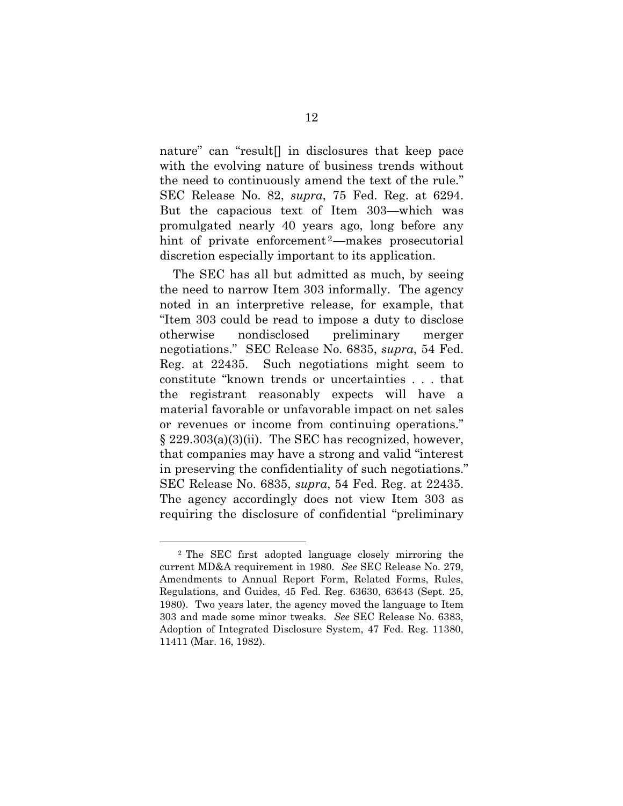nature" can "result[] in disclosures that keep pace with the evolving nature of business trends without the need to continuously amend the text of the rule." SEC Release No. 82, *supra*, 75 Fed. Reg. at 6294. But the capacious text of Item 303—which was promulgated nearly 40 years ago, long before any hint of private enforcement<sup>[2](#page-21-1)</sup>—makes prosecutorial discretion especially important to its application.

The SEC has all but admitted as much, by seeing the need to narrow Item 303 informally. The agency noted in an interpretive release, for example, that "Item 303 could be read to impose a duty to disclose otherwise nondisclosed preliminary merger negotiations." SEC Release No. 6835, *supra*, 54 Fed. Reg. at 22435. Such negotiations might seem to constitute "known trends or uncertainties . . . that the registrant reasonably expects will have a material favorable or unfavorable impact on net sales or revenues or income from continuing operations."  $\S 229.303(a)(3)(ii)$ . The SEC has recognized, however, that companies may have a strong and valid "interest in preserving the confidentiality of such negotiations." SEC Release No. 6835, *supra*, 54 Fed. Reg. at 22435. The agency accordingly does not view Item 303 as requiring the disclosure of confidential "preliminary

<u>.</u>

<span id="page-21-1"></span><span id="page-21-0"></span><sup>2</sup> The SEC first adopted language closely mirroring the current MD&A requirement in 1980. *See* SEC Release No. 279, Amendments to Annual Report Form, Related Forms, Rules, Regulations, and Guides, 45 Fed. Reg. 63630, 63643 (Sept. 25, 1980). Two years later, the agency moved the language to Item 303 and made some minor tweaks. *See* SEC Release No. 6383, Adoption of Integrated Disclosure System, 47 Fed. Reg. 11380, 11411 (Mar. 16, 1982).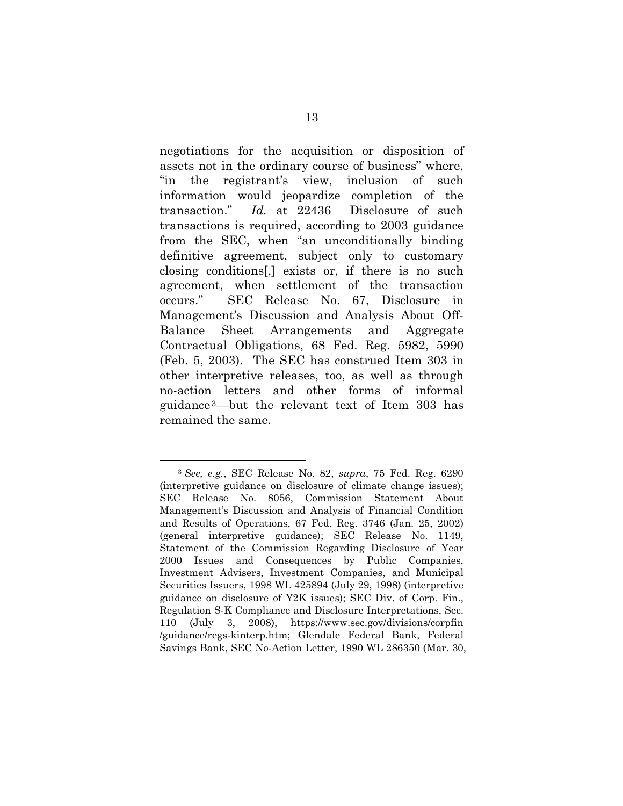negotiations for the acquisition or disposition of assets not in the ordinary course of business" where, "in the registrant's view, inclusion of such information would jeopardize completion of the transaction." *Id.* at 22436 Disclosure of such transactions is required, according to 2003 guidance from the SEC, when "an unconditionally binding definitive agreement, subject only to customary closing conditions[,] exists or, if there is no such agreement, when settlement of the transaction occurs." SEC Release No. 67, Disclosure in Management's Discussion and Analysis About Off-Balance Sheet Arrangements and Aggregate Contractual Obligations, 68 Fed. Reg. 5982, 5990 (Feb. 5, 2003). The SEC has construed Item 303 in other interpretive releases, too, as well as through no-action letters and other forms of informal guidance [3](#page-22-2)—but the relevant text of Item 303 has remained the same.

<span id="page-22-1"></span>-

<span id="page-22-2"></span><span id="page-22-0"></span><sup>3</sup> *See, e.g.*, SEC Release No. 82, *supra*, 75 Fed. Reg. 6290 (interpretive guidance on disclosure of climate change issues); SEC Release No. 8056, Commission Statement About Management's Discussion and Analysis of Financial Condition and Results of Operations, 67 Fed. Reg. 3746 (Jan. 25, 2002) (general interpretive guidance); SEC Release No. 1149, Statement of the Commission Regarding Disclosure of Year 2000 Issues and Consequences by Public Companies, Investment Advisers, Investment Companies, and Municipal Securities Issuers, 1998 WL 425894 (July 29, 1998) (interpretive guidance on disclosure of Y2K issues); SEC Div. of Corp. Fin., Regulation S-K Compliance and Disclosure Interpretations, Sec. 110 (July 3, 2008), https://www.sec.gov/divisions/corpfin /guidance/regs-kinterp.htm; Glendale Federal Bank, Federal Savings Bank, SEC No-Action Letter, 1990 WL 286350 (Mar. 30,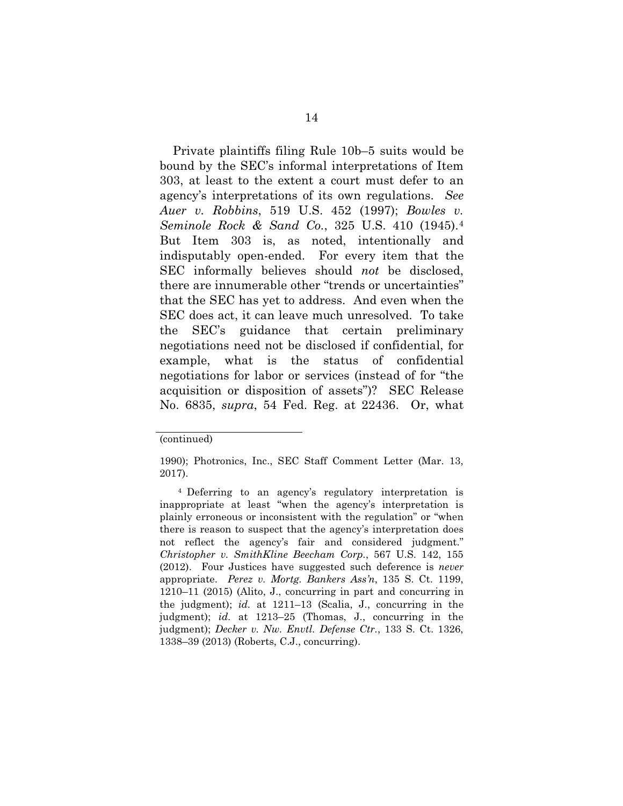<span id="page-23-1"></span><span id="page-23-0"></span>Private plaintiffs filing Rule 10b–5 suits would be bound by the SEC's informal interpretations of Item 303, at least to the extent a court must defer to an agency's interpretations of its own regulations. *See Auer v. Robbins*, 519 U.S. 452 (1997); *Bowles v. Seminole Rock & Sand Co.*, 325 U.S. 410 (1945).[4](#page-23-4)  But Item 303 is, as noted, intentionally and indisputably open-ended. For every item that the SEC informally believes should *not* be disclosed, there are innumerable other "trends or uncertainties" that the SEC has yet to address. And even when the SEC does act, it can leave much unresolved. To take the SEC's guidance that certain preliminary negotiations need not be disclosed if confidential, for example, what is the status of confidential negotiations for labor or services (instead of for "the acquisition or disposition of assets")? SEC Release No. 6835, *supra*, 54 Fed. Reg. at 22436. Or, what

<sup>(</sup>continued)

<sup>1990);</sup> Photronics, Inc., SEC Staff Comment Letter (Mar. 13, 2017).

<span id="page-23-4"></span><span id="page-23-3"></span><span id="page-23-2"></span><sup>4</sup> Deferring to an agency's regulatory interpretation is inappropriate at least "when the agency's interpretation is plainly erroneous or inconsistent with the regulation" or "when there is reason to suspect that the agency's interpretation does not reflect the agency's fair and considered judgment." *Christopher v. SmithKline Beecham Corp.*, 567 U.S. 142, 155 (2012). Four Justices have suggested such deference is *never* appropriate. *Perez v. Mortg. Bankers Ass'n*, 135 S. Ct. 1199, 1210–11 (2015) (Alito, J., concurring in part and concurring in the judgment); *id.* at 1211–13 (Scalia, J., concurring in the judgment); *id.* at 1213–25 (Thomas, J., concurring in the judgment); *Decker v. Nw. Envtl. Defense Ctr.*, 133 S. Ct. 1326, 1338–39 (2013) (Roberts, C.J., concurring).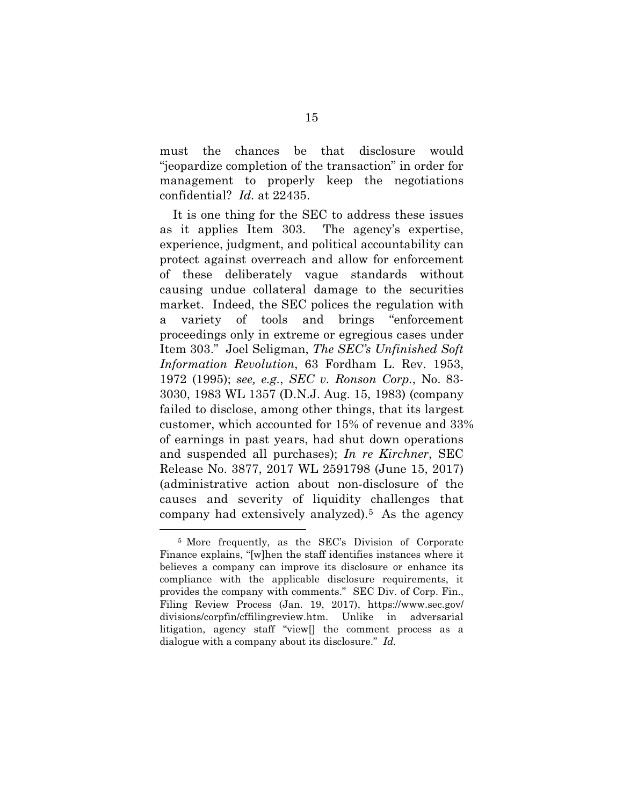must the chances be that disclosure would "jeopardize completion of the transaction" in order for management to properly keep the negotiations confidential? *Id.* at 22435.

<span id="page-24-1"></span>It is one thing for the SEC to address these issues as it applies Item 303. The agency's expertise, experience, judgment, and political accountability can protect against overreach and allow for enforcement of these deliberately vague standards without causing undue collateral damage to the securities market. Indeed, the SEC polices the regulation with a variety of tools and brings "enforcement proceedings only in extreme or egregious cases under Item 303." Joel Seligman, *The SEC's Unfinished Soft Information Revolution*, 63 Fordham L. Rev. 1953, 1972 (1995); *see, e.g.*, *SEC v. Ronson Corp.*, No. 83- 3030, 1983 WL 1357 (D.N.J. Aug. 15, 1983) (company failed to disclose, among other things, that its largest customer, which accounted for 15% of revenue and 33% of earnings in past years, had shut down operations and suspended all purchases); *In re Kirchner*, SEC Release No. 3877, 2017 WL 2591798 (June 15, 2017) (administrative action about non-disclosure of the causes and severity of liquidity challenges that company had extensively analyzed).[5](#page-24-2) As the agency

<span id="page-24-0"></span>-

<span id="page-24-2"></span><sup>5</sup> More frequently, as the SEC's Division of Corporate Finance explains, "[w]hen the staff identifies instances where it believes a company can improve its disclosure or enhance its compliance with the applicable disclosure requirements, it provides the company with comments." SEC Div. of Corp. Fin., Filing Review Process (Jan. 19, 2017), https://www.sec.gov/ divisions/corpfin/cffilingreview.htm. Unlike in adversarial litigation, agency staff "view[] the comment process as a dialogue with a company about its disclosure." *Id.*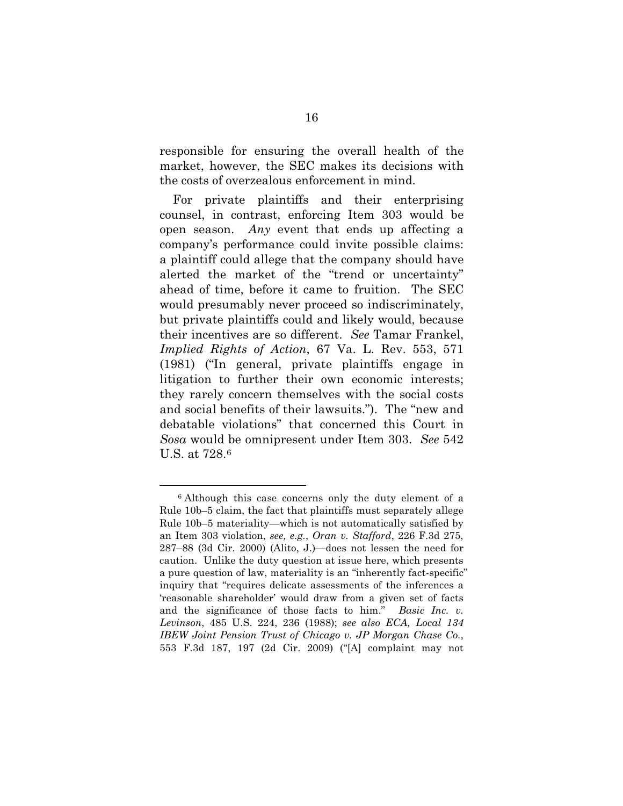responsible for ensuring the overall health of the market, however, the SEC makes its decisions with the costs of overzealous enforcement in mind.

<span id="page-25-1"></span>For private plaintiffs and their enterprising counsel, in contrast, enforcing Item 303 would be open season. *Any* event that ends up affecting a company's performance could invite possible claims: a plaintiff could allege that the company should have alerted the market of the "trend or uncertainty" ahead of time, before it came to fruition. The SEC would presumably never proceed so indiscriminately, but private plaintiffs could and likely would, because their incentives are so different. *See* Tamar Frankel, *Implied Rights of Action*, 67 Va. L. Rev. 553, 571 (1981) ("In general, private plaintiffs engage in litigation to further their own economic interests; they rarely concern themselves with the social costs and social benefits of their lawsuits."). The "new and debatable violations" that concerned this Court in *Sosa* would be omnipresent under Item 303. *See* 542 U.S. at 728.[6](#page-25-2)

-

<span id="page-25-2"></span><span id="page-25-0"></span><sup>6</sup> Although this case concerns only the duty element of a Rule 10b–5 claim, the fact that plaintiffs must separately allege Rule 10b–5 materiality—which is not automatically satisfied by an Item 303 violation, *see, e.g.*, *Oran v. Stafford*, 226 F.3d 275, 287–88 (3d Cir. 2000) (Alito, J.)—does not lessen the need for caution. Unlike the duty question at issue here, which presents a pure question of law, materiality is an "inherently fact-specific" inquiry that "requires delicate assessments of the inferences a 'reasonable shareholder' would draw from a given set of facts and the significance of those facts to him." *Basic Inc. v. Levinson*, 485 U.S. 224, 236 (1988); *see also ECA, Local 134 IBEW Joint Pension Trust of Chicago v. JP Morgan Chase Co.*, 553 F.3d 187, 197 (2d Cir. 2009) ("[A] complaint may not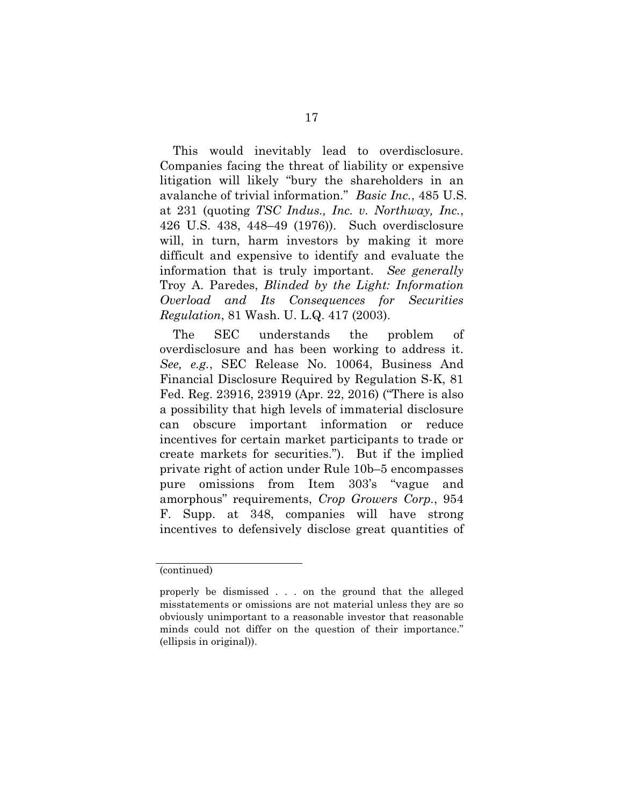<span id="page-26-0"></span>This would inevitably lead to overdisclosure. Companies facing the threat of liability or expensive litigation will likely "bury the shareholders in an avalanche of trivial information." *Basic Inc.*, 485 U.S. at 231 (quoting *TSC Indus., Inc. v. Northway, Inc.*, 426 U.S. 438, 448–49 (1976)). Such overdisclosure will, in turn, harm investors by making it more difficult and expensive to identify and evaluate the information that is truly important. *See generally* Troy A. Paredes, *Blinded by the Light: Information Overload and Its Consequences for Securities Regulation*, 81 Wash. U. L.Q. 417 (2003).

<span id="page-26-3"></span><span id="page-26-2"></span>The SEC understands the problem of overdisclosure and has been working to address it. *See, e.g.*, SEC Release No. 10064, Business And Financial Disclosure Required by Regulation S-K, 81 Fed. Reg. 23916, 23919 (Apr. 22, 2016) ("There is also a possibility that high levels of immaterial disclosure can obscure important information or reduce incentives for certain market participants to trade or create markets for securities."). But if the implied private right of action under Rule 10b–5 encompasses pure omissions from Item 303's "vague and amorphous" requirements, *Crop Growers Corp.*, 954 F. Supp. at 348, companies will have strong incentives to defensively disclose great quantities of

<span id="page-26-1"></span><sup>(</sup>continued)

properly be dismissed . . . on the ground that the alleged misstatements or omissions are not material unless they are so obviously unimportant to a reasonable investor that reasonable minds could not differ on the question of their importance." (ellipsis in original)).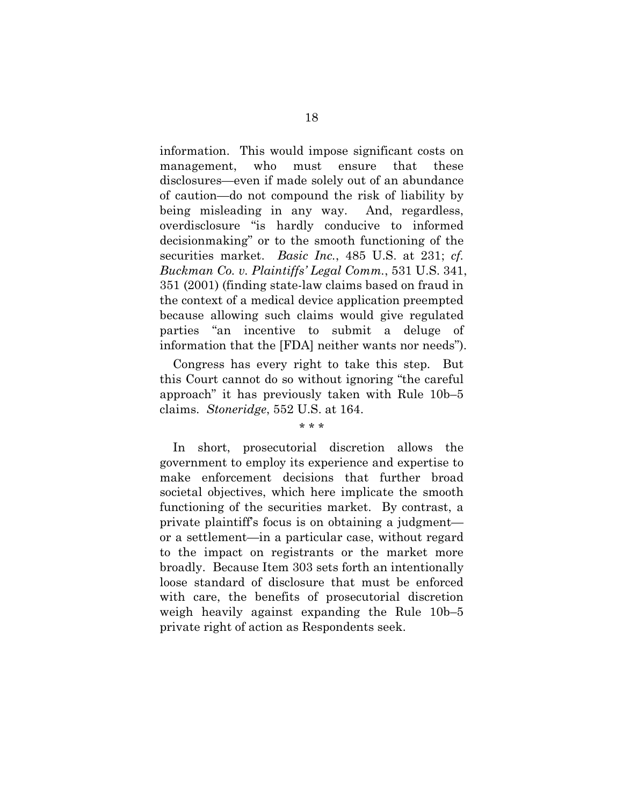<span id="page-27-0"></span>information. This would impose significant costs on management, who must ensure that these disclosures—even if made solely out of an abundance of caution—do not compound the risk of liability by being misleading in any way. And, regardless, overdisclosure "is hardly conducive to informed decisionmaking" or to the smooth functioning of the securities market. *Basic Inc.*, 485 U.S. at 231; *cf. Buckman Co. v. Plaintiffs' Legal Comm.*, 531 U.S. 341, 351 (2001) (finding state-law claims based on fraud in the context of a medical device application preempted because allowing such claims would give regulated parties "an incentive to submit a deluge of information that the [FDA] neither wants nor needs").

<span id="page-27-1"></span>Congress has every right to take this step. But this Court cannot do so without ignoring "the careful approach" it has previously taken with Rule 10b–5 claims. *Stoneridge*, 552 U.S. at 164.

#### \* \* \*

<span id="page-27-2"></span>In short, prosecutorial discretion allows the government to employ its experience and expertise to make enforcement decisions that further broad societal objectives, which here implicate the smooth functioning of the securities market. By contrast, a private plaintiff's focus is on obtaining a judgment or a settlement—in a particular case, without regard to the impact on registrants or the market more broadly. Because Item 303 sets forth an intentionally loose standard of disclosure that must be enforced with care, the benefits of prosecutorial discretion weigh heavily against expanding the Rule 10b–5 private right of action as Respondents seek.